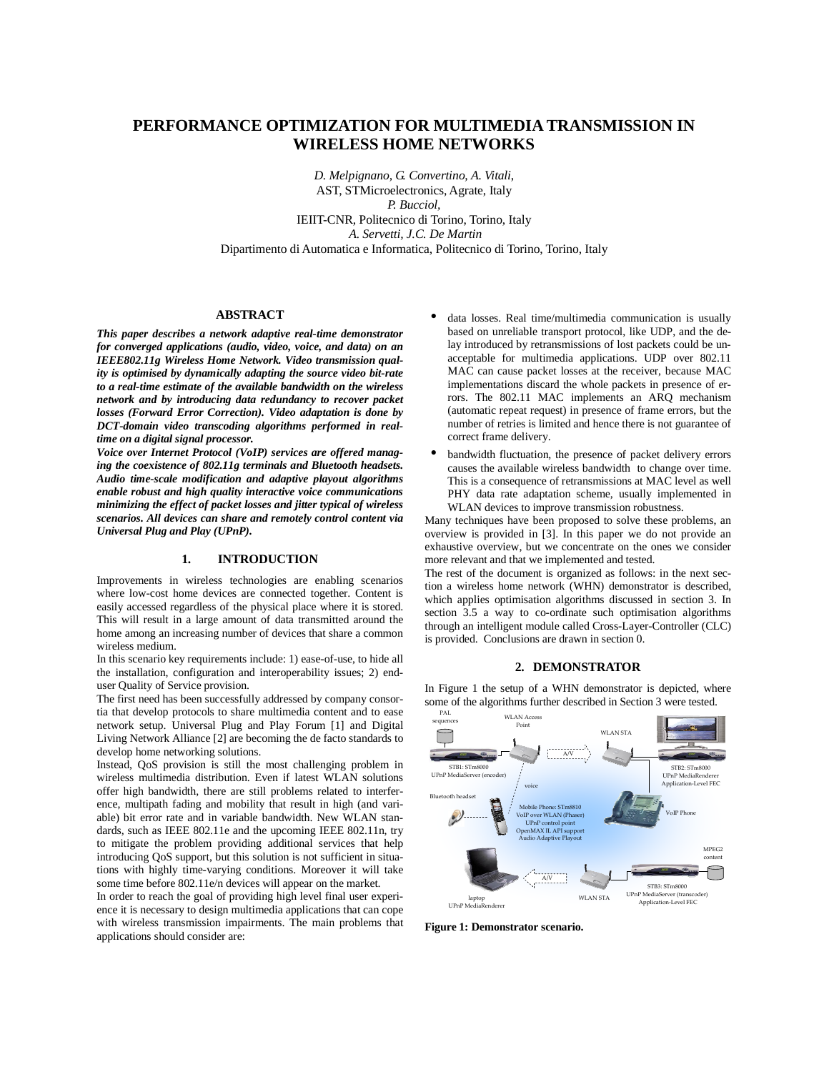# **PERFORMANCE OPTIMIZATION FOR MULTIMEDIA TRANSMISSION IN WIRELESS HOME NETWORKS**

*D. Melpignano, G. Convertino, A. Vitali*, AST, STMicroelectronics, Agrate, Italy *P. Bucciol,*  IEIIT-CNR, Politecnico di Torino, Torino, Italy *A. Servetti, J.C. De Martin* Dipartimento di Automatica e Informatica, Politecnico di Torino, Torino, Italy

### **ABSTRACT**

*This paper describes a network adaptive real-time demonstrator for converged applications (audio, video, voice, and data) on an IEEE802.11g Wireless Home Network. Video transmission quality is optimised by dynamically adapting the source video bit-rate to a real-time estimate of the available bandwidth on the wireless network and by introducing data redundancy to recover packet losses (Forward Error Correction). Video adaptation is done by DCT-domain video transcoding algorithms performed in realtime on a digital signal processor.* 

*Voice over Internet Protocol (VoIP) services are offered managing the coexistence of 802.11g terminals and Bluetooth headsets. Audio time-scale modification and adaptive playout algorithms enable robust and high quality interactive voice communications minimizing the effect of packet losses and jitter typical of wireless scenarios. All devices can share and remotely control content via Universal Plug and Play (UPnP).*

## **1. INTRODUCTION**

Improvements in wireless technologies are enabling scenarios where low-cost home devices are connected together. Content is easily accessed regardless of the physical place where it is stored. This will result in a large amount of data transmitted around the home among an increasing number of devices that share a common wireless medium.

In this scenario key requirements include: 1) ease-of-use, to hide all the installation, configuration and interoperability issues; 2) enduser Quality of Service provision.

The first need has been successfully addressed by company consortia that develop protocols to share multimedia content and to ease network setup. Universal Plug and Play Forum [1] and Digital Living Network Alliance [2] are becoming the de facto standards to develop home networking solutions.

Instead, QoS provision is still the most challenging problem in wireless multimedia distribution. Even if latest WLAN solutions offer high bandwidth, there are still problems related to interference, multipath fading and mobility that result in high (and variable) bit error rate and in variable bandwidth. New WLAN standards, such as IEEE 802.11e and the upcoming IEEE 802.11n, try to mitigate the problem providing additional services that help introducing QoS support, but this solution is not sufficient in situations with highly time-varying conditions. Moreover it will take some time before 802.11e/n devices will appear on the market.

In order to reach the goal of providing high level final user experience it is necessary to design multimedia applications that can cope with wireless transmission impairments. The main problems that applications should consider are:

- data losses. Real time/multimedia communication is usually based on unreliable transport protocol, like UDP, and the delay introduced by retransmissions of lost packets could be unacceptable for multimedia applications. UDP over 802.11 MAC can cause packet losses at the receiver, because MAC implementations discard the whole packets in presence of errors. The 802.11 MAC implements an ARQ mechanism (automatic repeat request) in presence of frame errors, but the number of retries is limited and hence there is not guarantee of correct frame delivery.
- bandwidth fluctuation, the presence of packet delivery errors causes the available wireless bandwidth to change over time. This is a consequence of retransmissions at MAC level as well PHY data rate adaptation scheme, usually implemented in WLAN devices to improve transmission robustness.

Many techniques have been proposed to solve these problems, an overview is provided in [3]. In this paper we do not provide an exhaustive overview, but we concentrate on the ones we consider more relevant and that we implemented and tested.

The rest of the document is organized as follows: in the next section a wireless home network (WHN) demonstrator is described, which applies optimisation algorithms discussed in section 3. In section 3.5 a way to co-ordinate such optimisation algorithms through an intelligent module called Cross-Layer-Controller (CLC) is provided. Conclusions are drawn in section 0.

### **2. DEMONSTRATOR**

In Figure 1 the setup of a WHN demonstrator is depicted, where some of the algorithms further described in Section 3 were tested.



**Figure 1: Demonstrator scenario.**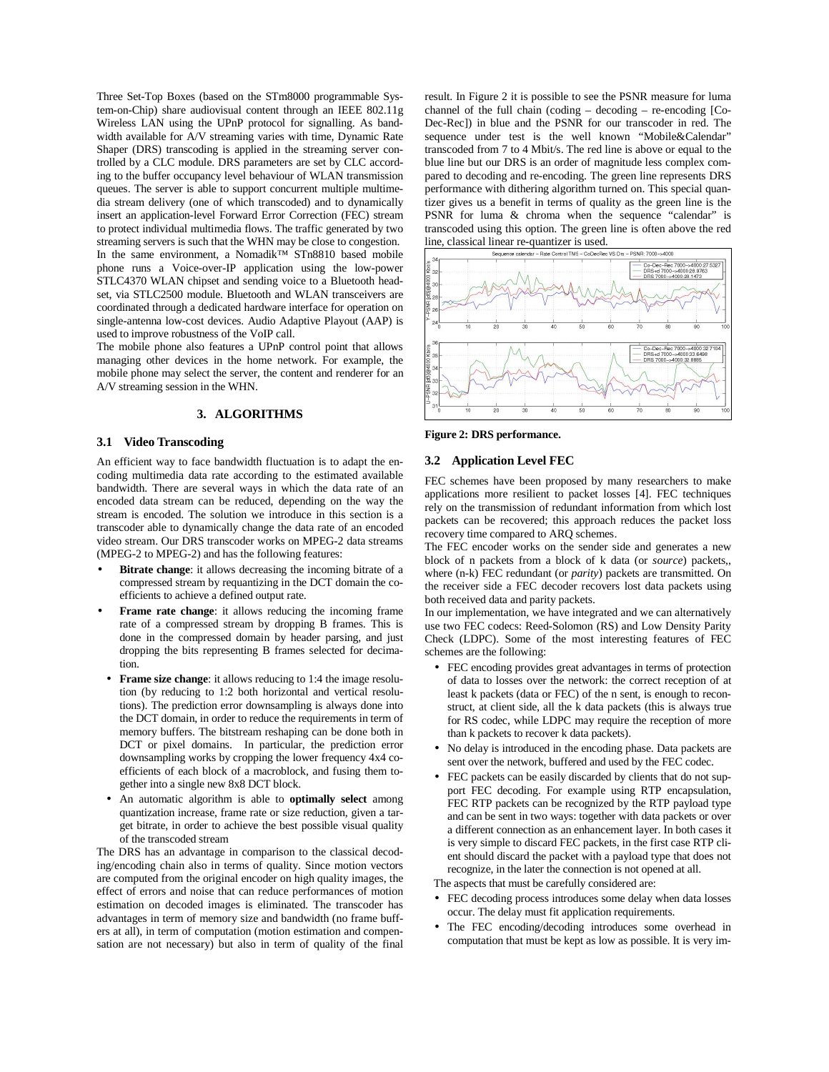Three Set-Top Boxes (based on the STm8000 programmable System-on-Chip) share audiovisual content through an IEEE 802.11g Wireless LAN using the UPnP protocol for signalling. As bandwidth available for A/V streaming varies with time, Dynamic Rate Shaper (DRS) transcoding is applied in the streaming server controlled by a CLC module. DRS parameters are set by CLC according to the buffer occupancy level behaviour of WLAN transmission queues. The server is able to support concurrent multiple multimedia stream delivery (one of which transcoded) and to dynamically insert an application-level Forward Error Correction (FEC) stream to protect individual multimedia flows. The traffic generated by two streaming servers is such that the WHN may be close to congestion. In the same environment, a Nomadik™ STn8810 based mobile phone runs a Voice-over-IP application using the low-power STLC4370 WLAN chipset and sending voice to a Bluetooth headset, via STLC2500 module. Bluetooth and WLAN transceivers are coordinated through a dedicated hardware interface for operation on single-antenna low-cost devices. Audio Adaptive Playout (AAP) is used to improve robustness of the VoIP call.

The mobile phone also features a UPnP control point that allows managing other devices in the home network. For example, the mobile phone may select the server, the content and renderer for an A/V streaming session in the WHN.

#### **3. ALGORITHMS**

#### **3.1 Video Transcoding**

An efficient way to face bandwidth fluctuation is to adapt the encoding multimedia data rate according to the estimated available bandwidth. There are several ways in which the data rate of an encoded data stream can be reduced, depending on the way the stream is encoded. The solution we introduce in this section is a transcoder able to dynamically change the data rate of an encoded video stream. Our DRS transcoder works on MPEG-2 data streams (MPEG-2 to MPEG-2) and has the following features:

- **Bitrate change:** it allows decreasing the incoming bitrate of a compressed stream by requantizing in the DCT domain the coefficients to achieve a defined output rate.
- **Frame rate change:** it allows reducing the incoming frame rate of a compressed stream by dropping B frames. This is done in the compressed domain by header parsing, and just dropping the bits representing B frames selected for decimation.
- **Frame size change**: it allows reducing to 1:4 the image resolution (by reducing to 1:2 both horizontal and vertical resolutions). The prediction error downsampling is always done into the DCT domain, in order to reduce the requirements in term of memory buffers. The bitstream reshaping can be done both in DCT or pixel domains. In particular, the prediction error downsampling works by cropping the lower frequency 4x4 coefficients of each block of a macroblock, and fusing them together into a single new 8x8 DCT block.
- An automatic algorithm is able to **optimally select** among quantization increase, frame rate or size reduction, given a target bitrate, in order to achieve the best possible visual quality of the transcoded stream

The DRS has an advantage in comparison to the classical decoding/encoding chain also in terms of quality. Since motion vectors are computed from the original encoder on high quality images, the effect of errors and noise that can reduce performances of motion estimation on decoded images is eliminated. The transcoder has advantages in term of memory size and bandwidth (no frame buffers at all), in term of computation (motion estimation and compensation are not necessary) but also in term of quality of the final

result. In Figure 2 it is possible to see the PSNR measure for luma channel of the full chain (coding – decoding – re-encoding [Co-Dec-Rec]) in blue and the PSNR for our transcoder in red. The sequence under test is the well known "Mobile&Calendar" transcoded from 7 to 4 Mbit/s. The red line is above or equal to the blue line but our DRS is an order of magnitude less complex compared to decoding and re-encoding. The green line represents DRS performance with dithering algorithm turned on. This special quantizer gives us a benefit in terms of quality as the green line is the PSNR for luma & chroma when the sequence "calendar" is transcoded using this option. The green line is often above the red



**Figure 2: DRS performance.** 

## **3.2 Application Level FEC**

FEC schemes have been proposed by many researchers to make applications more resilient to packet losses [4]. FEC techniques rely on the transmission of redundant information from which lost packets can be recovered; this approach reduces the packet loss recovery time compared to ARQ schemes.

The FEC encoder works on the sender side and generates a new block of n packets from a block of k data (or *source*) packets,, where (n-k) FEC redundant (or *parity*) packets are transmitted. On the receiver side a FEC decoder recovers lost data packets using both received data and parity packets.

In our implementation, we have integrated and we can alternatively use two FEC codecs: Reed-Solomon (RS) and Low Density Parity Check (LDPC). Some of the most interesting features of FEC schemes are the following:

- FEC encoding provides great advantages in terms of protection of data to losses over the network: the correct reception of at least k packets (data or FEC) of the n sent, is enough to reconstruct, at client side, all the k data packets (this is always true for RS codec, while LDPC may require the reception of more than k packets to recover k data packets).
- No delay is introduced in the encoding phase. Data packets are sent over the network, buffered and used by the FEC codec.
- FEC packets can be easily discarded by clients that do not support FEC decoding. For example using RTP encapsulation, FEC RTP packets can be recognized by the RTP payload type and can be sent in two ways: together with data packets or over a different connection as an enhancement layer. In both cases it is very simple to discard FEC packets, in the first case RTP client should discard the packet with a payload type that does not recognize, in the later the connection is not opened at all.

The aspects that must be carefully considered are:

- FEC decoding process introduces some delay when data losses occur. The delay must fit application requirements.
- The FEC encoding/decoding introduces some overhead in computation that must be kept as low as possible. It is very im-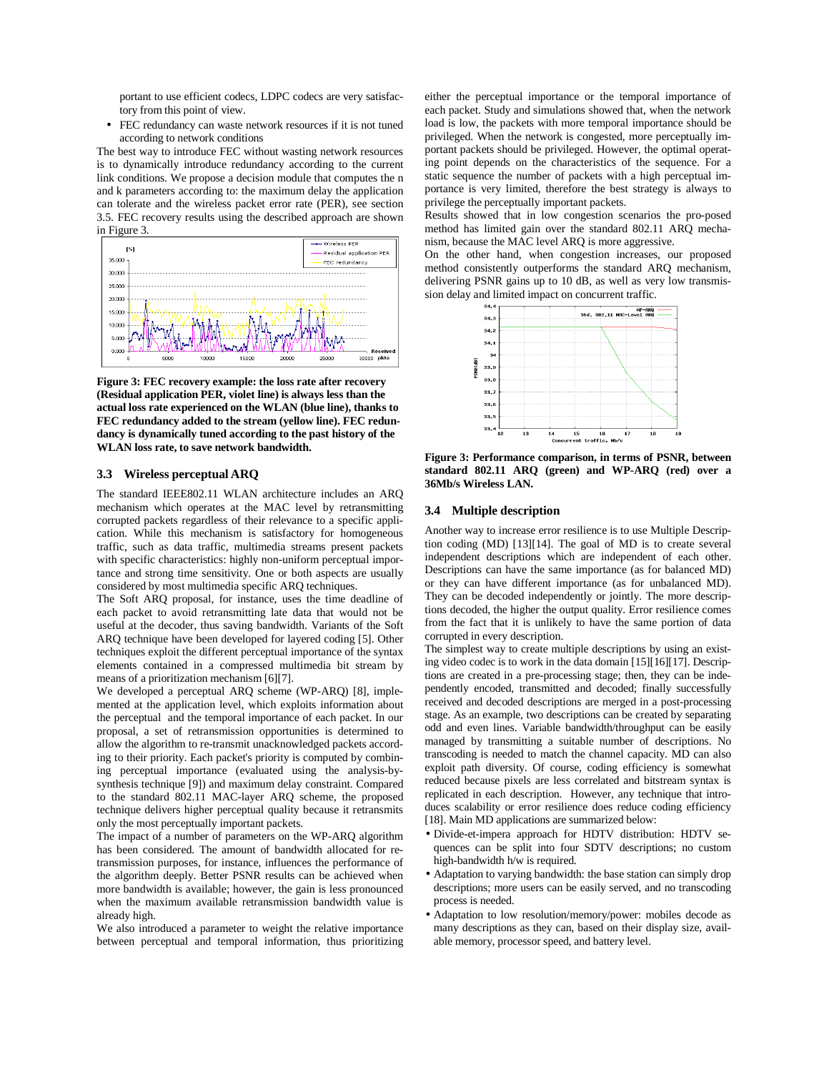portant to use efficient codecs, LDPC codecs are very satisfactory from this point of view.

• FEC redundancy can waste network resources if it is not tuned according to network conditions

The best way to introduce FEC without wasting network resources is to dynamically introduce redundancy according to the current link conditions. We propose a decision module that computes the n and k parameters according to: the maximum delay the application can tolerate and the wireless packet error rate (PER), see section 3.5. FEC recovery results using the described approach are shown in Figure 3.



**Figure 3: FEC recovery example: the loss rate after recovery (Residual application PER, violet line) is always less than the actual loss rate experienced on the WLAN (blue line), thanks to FEC redundancy added to the stream (yellow line). FEC redundancy is dynamically tuned according to the past history of the WLAN loss rate, to save network bandwidth.** 

#### **3.3 Wireless perceptual ARQ**

The standard IEEE802.11 WLAN architecture includes an ARQ mechanism which operates at the MAC level by retransmitting corrupted packets regardless of their relevance to a specific application. While this mechanism is satisfactory for homogeneous traffic, such as data traffic, multimedia streams present packets with specific characteristics: highly non-uniform perceptual importance and strong time sensitivity. One or both aspects are usually considered by most multimedia specific ARQ techniques.

The Soft ARQ proposal, for instance, uses the time deadline of each packet to avoid retransmitting late data that would not be useful at the decoder, thus saving bandwidth. Variants of the Soft ARQ technique have been developed for layered coding [5]. Other techniques exploit the different perceptual importance of the syntax elements contained in a compressed multimedia bit stream by means of a prioritization mechanism [6][7].

We developed a perceptual ARQ scheme (WP-ARQ) [8], implemented at the application level, which exploits information about the perceptual and the temporal importance of each packet. In our proposal, a set of retransmission opportunities is determined to allow the algorithm to re-transmit unacknowledged packets according to their priority. Each packet's priority is computed by combining perceptual importance (evaluated using the analysis-bysynthesis technique [9]) and maximum delay constraint. Compared to the standard 802.11 MAC-layer ARQ scheme, the proposed technique delivers higher perceptual quality because it retransmits only the most perceptually important packets.

The impact of a number of parameters on the WP-ARQ algorithm has been considered. The amount of bandwidth allocated for retransmission purposes, for instance, influences the performance of the algorithm deeply. Better PSNR results can be achieved when more bandwidth is available; however, the gain is less pronounced when the maximum available retransmission bandwidth value is already high.

We also introduced a parameter to weight the relative importance between perceptual and temporal information, thus prioritizing either the perceptual importance or the temporal importance of each packet. Study and simulations showed that, when the network load is low, the packets with more temporal importance should be privileged. When the network is congested, more perceptually important packets should be privileged. However, the optimal operating point depends on the characteristics of the sequence. For a static sequence the number of packets with a high perceptual importance is very limited, therefore the best strategy is always to privilege the perceptually important packets.

Results showed that in low congestion scenarios the pro-posed method has limited gain over the standard 802.11 ARQ mechanism, because the MAC level ARQ is more aggressive.

On the other hand, when congestion increases, our proposed method consistently outperforms the standard ARQ mechanism, delivering PSNR gains up to 10 dB, as well as very low transmission delay and limited impact on concurrent traffic.



**Figure 3: Performance comparison, in terms of PSNR, between standard 802.11 ARQ (green) and WP-ARQ (red) over a 36Mb/s Wireless LAN.** 

#### **3.4 Multiple description**

Another way to increase error resilience is to use Multiple Description coding (MD) [13][14]. The goal of MD is to create several independent descriptions which are independent of each other. Descriptions can have the same importance (as for balanced MD) or they can have different importance (as for unbalanced MD). They can be decoded independently or jointly. The more descriptions decoded, the higher the output quality. Error resilience comes from the fact that it is unlikely to have the same portion of data corrupted in every description.

The simplest way to create multiple descriptions by using an existing video codec is to work in the data domain [15][16][17]. Descriptions are created in a pre-processing stage; then, they can be independently encoded, transmitted and decoded; finally successfully received and decoded descriptions are merged in a post-processing stage. As an example, two descriptions can be created by separating odd and even lines. Variable bandwidth/throughput can be easily managed by transmitting a suitable number of descriptions. No transcoding is needed to match the channel capacity. MD can also exploit path diversity. Of course, coding efficiency is somewhat reduced because pixels are less correlated and bitstream syntax is replicated in each description. However, any technique that introduces scalability or error resilience does reduce coding efficiency [18]. Main MD applications are summarized below:

- Divide-et-impera approach for HDTV distribution: HDTV sequences can be split into four SDTV descriptions; no custom high-bandwidth h/w is required.
- Adaptation to varying bandwidth: the base station can simply drop descriptions; more users can be easily served, and no transcoding process is needed.
- Adaptation to low resolution/memory/power: mobiles decode as many descriptions as they can, based on their display size, available memory, processor speed, and battery level.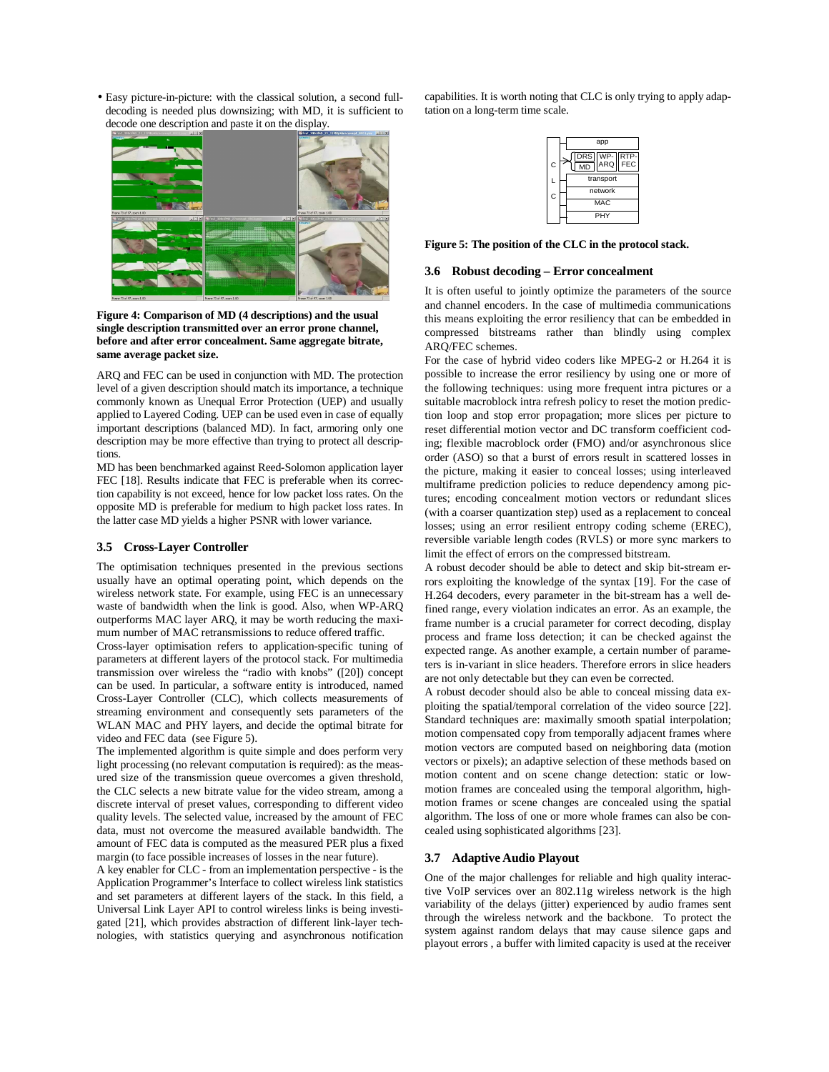• Easy picture-in-picture: with the classical solution, a second fulldecoding is needed plus downsizing; with MD, it is sufficient to decode one description and paste it on the display.



**Figure 4: Comparison of MD (4 descriptions) and the usual single description transmitted over an error prone channel, before and after error concealment. Same aggregate bitrate, same average packet size.** 

ARQ and FEC can be used in conjunction with MD. The protection level of a given description should match its importance, a technique commonly known as Unequal Error Protection (UEP) and usually applied to Layered Coding. UEP can be used even in case of equally important descriptions (balanced MD). In fact, armoring only one description may be more effective than trying to protect all descriptions.

MD has been benchmarked against Reed-Solomon application layer FEC [18]. Results indicate that FEC is preferable when its correction capability is not exceed, hence for low packet loss rates. On the opposite MD is preferable for medium to high packet loss rates. In the latter case MD yields a higher PSNR with lower variance.

#### **3.5 Cross-Layer Controller**

The optimisation techniques presented in the previous sections usually have an optimal operating point, which depends on the wireless network state. For example, using FEC is an unnecessary waste of bandwidth when the link is good. Also, when WP-ARQ outperforms MAC layer ARQ, it may be worth reducing the maximum number of MAC retransmissions to reduce offered traffic.

Cross-layer optimisation refers to application-specific tuning of parameters at different layers of the protocol stack. For multimedia transmission over wireless the "radio with knobs" ([20]) concept can be used. In particular, a software entity is introduced, named Cross-Layer Controller (CLC), which collects measurements of streaming environment and consequently sets parameters of the WLAN MAC and PHY layers, and decide the optimal bitrate for video and FEC data (see Figure 5).

The implemented algorithm is quite simple and does perform very light processing (no relevant computation is required): as the measured size of the transmission queue overcomes a given threshold, the CLC selects a new bitrate value for the video stream, among a discrete interval of preset values, corresponding to different video quality levels. The selected value, increased by the amount of FEC data, must not overcome the measured available bandwidth. The amount of FEC data is computed as the measured PER plus a fixed margin (to face possible increases of losses in the near future).

A key enabler for CLC - from an implementation perspective - is the Application Programmer's Interface to collect wireless link statistics and set parameters at different layers of the stack. In this field, a Universal Link Layer API to control wireless links is being investigated [21], which provides abstraction of different link-layer technologies, with statistics querying and asynchronous notification capabilities. It is worth noting that CLC is only trying to apply adaptation on a long-term time scale.

|   | app                          |
|---|------------------------------|
| C | DRS WP-<br>RTP-<br>FEC<br>MD |
| L | transport                    |
| Ċ | network                      |
|   | <b>MAC</b>                   |
|   | PHY                          |

**Figure 5: The position of the CLC in the protocol stack.** 

#### **3.6 Robust decoding – Error concealment**

It is often useful to jointly optimize the parameters of the source and channel encoders. In the case of multimedia communications this means exploiting the error resiliency that can be embedded in compressed bitstreams rather than blindly using complex ARQ/FEC schemes.

For the case of hybrid video coders like MPEG-2 or H.264 it is possible to increase the error resiliency by using one or more of the following techniques: using more frequent intra pictures or a suitable macroblock intra refresh policy to reset the motion prediction loop and stop error propagation; more slices per picture to reset differential motion vector and DC transform coefficient coding; flexible macroblock order (FMO) and/or asynchronous slice order (ASO) so that a burst of errors result in scattered losses in the picture, making it easier to conceal losses; using interleaved multiframe prediction policies to reduce dependency among pictures; encoding concealment motion vectors or redundant slices (with a coarser quantization step) used as a replacement to conceal losses; using an error resilient entropy coding scheme (EREC), reversible variable length codes (RVLS) or more sync markers to limit the effect of errors on the compressed bitstream.

A robust decoder should be able to detect and skip bit-stream errors exploiting the knowledge of the syntax [19]. For the case of H.264 decoders, every parameter in the bit-stream has a well defined range, every violation indicates an error. As an example, the frame number is a crucial parameter for correct decoding, display process and frame loss detection; it can be checked against the expected range. As another example, a certain number of parameters is in-variant in slice headers. Therefore errors in slice headers are not only detectable but they can even be corrected.

A robust decoder should also be able to conceal missing data exploiting the spatial/temporal correlation of the video source [22]. Standard techniques are: maximally smooth spatial interpolation; motion compensated copy from temporally adjacent frames where motion vectors are computed based on neighboring data (motion vectors or pixels); an adaptive selection of these methods based on motion content and on scene change detection: static or lowmotion frames are concealed using the temporal algorithm, highmotion frames or scene changes are concealed using the spatial algorithm. The loss of one or more whole frames can also be concealed using sophisticated algorithms [23].

### **3.7 Adaptive Audio Playout**

One of the major challenges for reliable and high quality interactive VoIP services over an 802.11g wireless network is the high variability of the delays (jitter) experienced by audio frames sent through the wireless network and the backbone. To protect the system against random delays that may cause silence gaps and playout errors , a buffer with limited capacity is used at the receiver